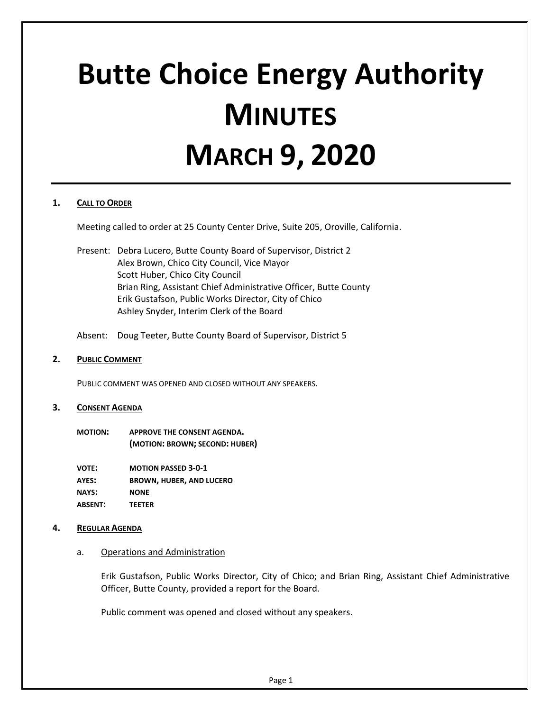# **Butte Choice Energy Authority MINUTES MARCH 9, 2020**

# **1. CALL TO ORDER**

Meeting called to order at 25 County Center Drive, Suite 205, Oroville, California.

Present: Debra Lucero, Butte County Board of Supervisor, District 2 Alex Brown, Chico City Council, Vice Mayor Scott Huber, Chico City Council Brian Ring, Assistant Chief Administrative Officer, Butte County Erik Gustafson, Public Works Director, City of Chico Ashley Snyder, Interim Clerk of the Board

Absent: Doug Teeter, Butte County Board of Supervisor, District 5

### **2. PUBLIC COMMENT**

PUBLIC COMMENT WAS OPENED AND CLOSED WITHOUT ANY SPEAKERS.

#### **3. CONSENT AGENDA**

**MOTION: APPROVE THE CONSENT AGENDA. (MOTION: BROWN; SECOND: HUBER)**

**VOTE: MOTION PASSED 3-0-1 AYES: BROWN, HUBER, AND LUCERO NAYS: NONE ABSENT: TEETER**

# **4. REGULAR AGENDA**

### a. Operations and Administration

Erik Gustafson, Public Works Director, City of Chico; and Brian Ring, Assistant Chief Administrative Officer, Butte County, provided a report for the Board.

Public comment was opened and closed without any speakers.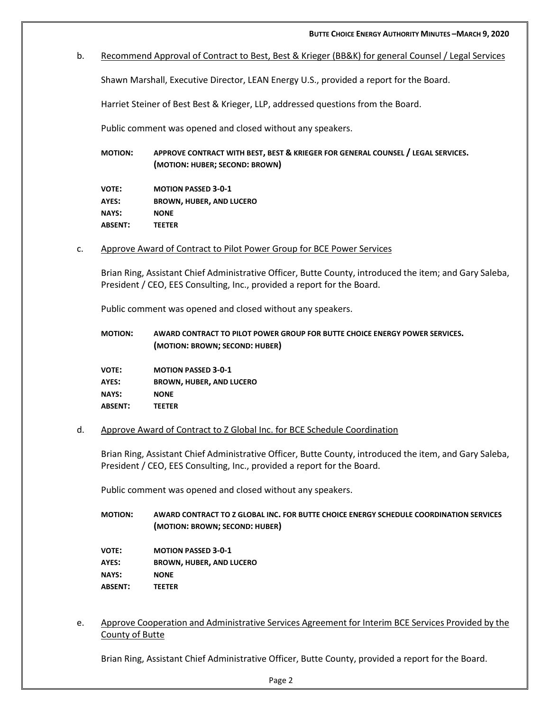b. Recommend Approval of Contract to Best, Best & Krieger (BB&K) for general Counsel / Legal Services

Shawn Marshall, Executive Director, LEAN Energy U.S., provided a report for the Board.

Harriet Steiner of Best Best & Krieger, LLP, addressed questions from the Board.

Public comment was opened and closed without any speakers.

**MOTION: APPROVE CONTRACT WITH BEST, BEST & KRIEGER FOR GENERAL COUNSEL / LEGAL SERVICES. (MOTION: HUBER; SECOND: BROWN)**

**VOTE: MOTION PASSED 3-0-1 AYES: BROWN, HUBER, AND LUCERO NAYS: NONE ABSENT: TEETER**

c. Approve Award of Contract to Pilot Power Group for BCE Power Services

Brian Ring, Assistant Chief Administrative Officer, Butte County, introduced the item; and Gary Saleba, President / CEO, EES Consulting, Inc., provided a report for the Board.

Public comment was opened and closed without any speakers.

| <b>MOTION:</b> | AWARD CONTRACT TO PILOT POWER GROUP FOR BUTTE CHOICE ENERGY POWER SERVICES. |
|----------------|-----------------------------------------------------------------------------|
|                | (MOTION: BROWN; SECOND: HUBER)                                              |

**VOTE: MOTION PASSED 3-0-1 AYES: BROWN, HUBER, AND LUCERO NAYS: NONE ABSENT: TEETER**

#### d. Approve Award of Contract to Z Global Inc. for BCE Schedule Coordination

Brian Ring, Assistant Chief Administrative Officer, Butte County, introduced the item, and Gary Saleba, President / CEO, EES Consulting, Inc., provided a report for the Board.

Public comment was opened and closed without any speakers.

**MOTION: AWARD CONTRACT TO Z GLOBAL INC. FOR BUTTE CHOICE ENERGY SCHEDULE COORDINATION SERVICES (MOTION: BROWN; SECOND: HUBER)**

**VOTE: MOTION PASSED 3-0-1 AYES: BROWN, HUBER, AND LUCERO NAYS: NONE ABSENT: TEETER**

e. Approve Cooperation and Administrative Services Agreement for Interim BCE Services Provided by the County of Butte

Brian Ring, Assistant Chief Administrative Officer, Butte County, provided a report for the Board.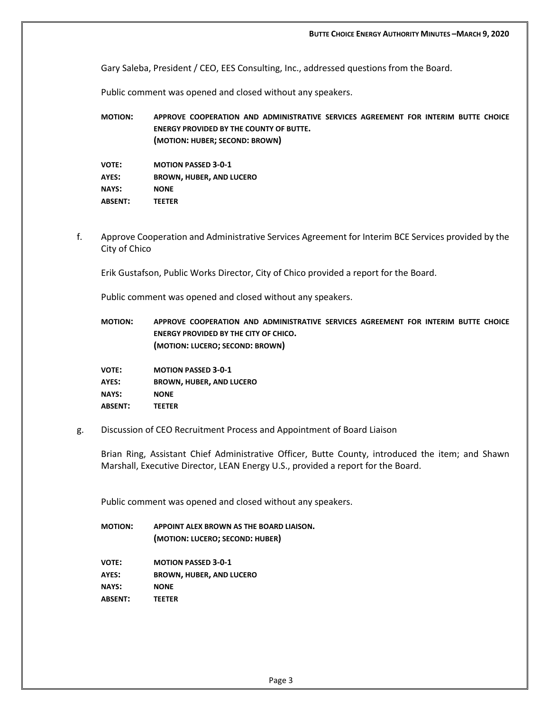Gary Saleba, President / CEO, EES Consulting, Inc., addressed questions from the Board.

Public comment was opened and closed without any speakers.

**MOTION: APPROVE COOPERATION AND ADMINISTRATIVE SERVICES AGREEMENT FOR INTERIM BUTTE CHOICE ENERGY PROVIDED BY THE COUNTY OF BUTTE. (MOTION: HUBER; SECOND: BROWN)**

| <b>VOTE:</b>   | <b>MOTION PASSED 3-0-1</b>      |
|----------------|---------------------------------|
| AYES:          | <b>BROWN, HUBER, AND LUCERO</b> |
| <b>NAYS:</b>   | <b>NONE</b>                     |
| <b>ABSENT:</b> | <b>TEETER</b>                   |

f. Approve Cooperation and Administrative Services Agreement for Interim BCE Services provided by the City of Chico

Erik Gustafson, Public Works Director, City of Chico provided a report for the Board.

Public comment was opened and closed without any speakers.

**MOTION: APPROVE COOPERATION AND ADMINISTRATIVE SERVICES AGREEMENT FOR INTERIM BUTTE CHOICE ENERGY PROVIDED BY THE CITY OF CHICO. (MOTION: LUCERO; SECOND: BROWN)**

**VOTE: MOTION PASSED 3-0-1 AYES: BROWN, HUBER, AND LUCERO NAYS: NONE ABSENT: TEETER**

g. Discussion of CEO Recruitment Process and Appointment of Board Liaison

Brian Ring, Assistant Chief Administrative Officer, Butte County, introduced the item; and Shawn Marshall, Executive Director, LEAN Energy U.S., provided a report for the Board.

Public comment was opened and closed without any speakers.

**MOTION: APPOINT ALEX BROWN AS THE BOARD LIAISON. (MOTION: LUCERO; SECOND: HUBER)**

**VOTE: MOTION PASSED 3-0-1**

- **AYES: BROWN, HUBER, AND LUCERO**
- **NAYS: NONE**
- **ABSENT: TEETER**